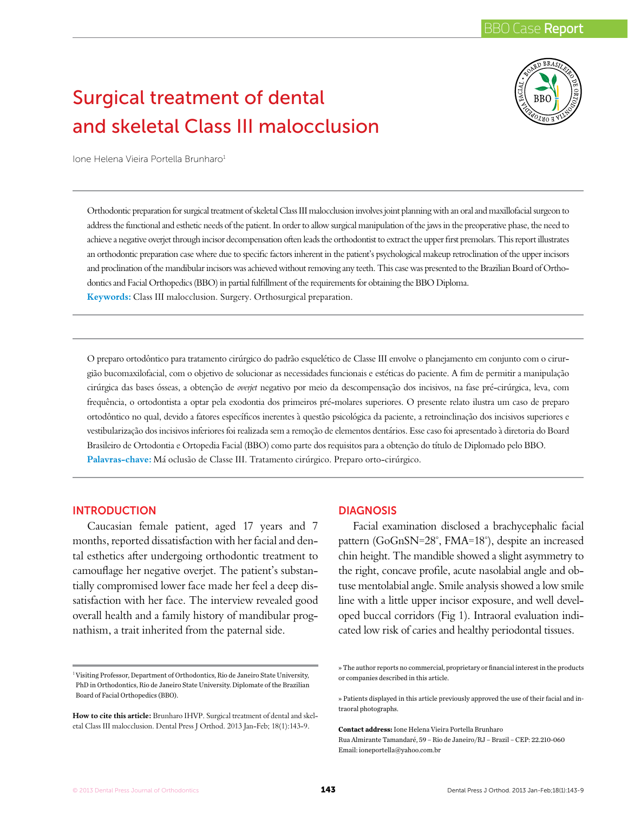# Surgical treatment of dental and skeletal Class III malocclusion



Ione Helena Vieira Portella Brunharo<sup>1</sup>

Orthodontic preparation for surgical treatment of skeletal Class III malocclusion involves joint planning with an oral and maxillofacial surgeon to address the functional and esthetic needs of the patient. In order to allow surgical manipulation of the jaws in the preoperative phase, the need to achieve a negative overjet through incisor decompensation often leads the orthodontist to extract the upper first premolars. This report illustrates an orthodontic preparation case where due to specific factors inherent in the patient's psychological makeup retroclination of the upper incisors and proclination of the mandibular incisors was achieved without removing any teeth. This case was presented to the Brazilian Board of Orthodontics and Facial Orthopedics (BBO) in partial fulfillment of the requirements for obtaining the BBO Diploma. **Keywords:** Class III malocclusion. Surgery. Orthosurgical preparation.

O preparo ortodôntico para tratamento cirúrgico do padrão esquelético de Classe III envolve o planejamento em conjunto com o cirurgião bucomaxilofacial, com o objetivo de solucionar as necessidades funcionais e estéticas do paciente. A fim de permitir a manipulação cirúrgica das bases ósseas, a obtenção de *overjet* negativo por meio da descompensação dos incisivos, na fase pré-cirúrgica, leva, com frequência, o ortodontista a optar pela exodontia dos primeiros pré-molares superiores. O presente relato ilustra um caso de preparo ortodôntico no qual, devido a fatores específicos inerentes à questão psicológica da paciente, a retroinclinação dos incisivos superiores e vestibularização dos incisivos inferiores foi realizada sem a remoção de elementos dentários. Esse caso foi apresentado à diretoria do Board Brasileiro de Ortodontia e Ortopedia Facial (BBO) como parte dos requisitos para a obtenção do título de Diplomado pelo BBO. **Palavras-chave:** Má oclusão de Classe III. Tratamento cirúrgico. Preparo orto-cirúrgico.

#### **INTRODUCTION**

Caucasian female patient, aged 17 years and 7 months, reported dissatisfaction with her facial and dental esthetics after undergoing orthodontic treatment to camouflage her negative overjet. The patient's substantially compromised lower face made her feel a deep dissatisfaction with her face. The interview revealed good overall health and a family history of mandibular prognathism, a trait inherited from the paternal side.

# **DIAGNOSIS**

Facial examination disclosed a brachycephalic facial pattern (GoGnSN=28°, FMA=18°), despite an increased chin height. The mandible showed a slight asymmetry to the right, concave profile, acute nasolabial angle and obtuse mentolabial angle. Smile analysis showed a low smile line with a little upper incisor exposure, and well developed buccal corridors (Fig 1). Intraoral evaluation indicated low risk of caries and healthy periodontal tissues.

» The author reports no commercial, proprietary or financial interest in the products or companies described in this article.

**Contact address:** Ione Helena Vieira Portella Brunharo Rua Almirante Tamandaré, 59 – Rio de Janeiro/RJ – Brazil – CEP: 22.210-060 Email: ioneportella@yahoo.com.br

<sup>&</sup>lt;sup>1</sup> Visiting Professor, Department of Orthodontics, Rio de Janeiro State University, PhD in Orthodontics, Rio de Janeiro State University. Diplomate of the Brazilian Board of Facial Orthopedics (BBO).

**How to cite this article:** Brunharo IHVP. Surgical treatment of dental and skeletal Class III malocclusion. Dental Press J Orthod. 2013 Jan-Feb; 18(1):143-9.

<sup>»</sup> Patients displayed in this article previously approved the use of their facial and intraoral photographs.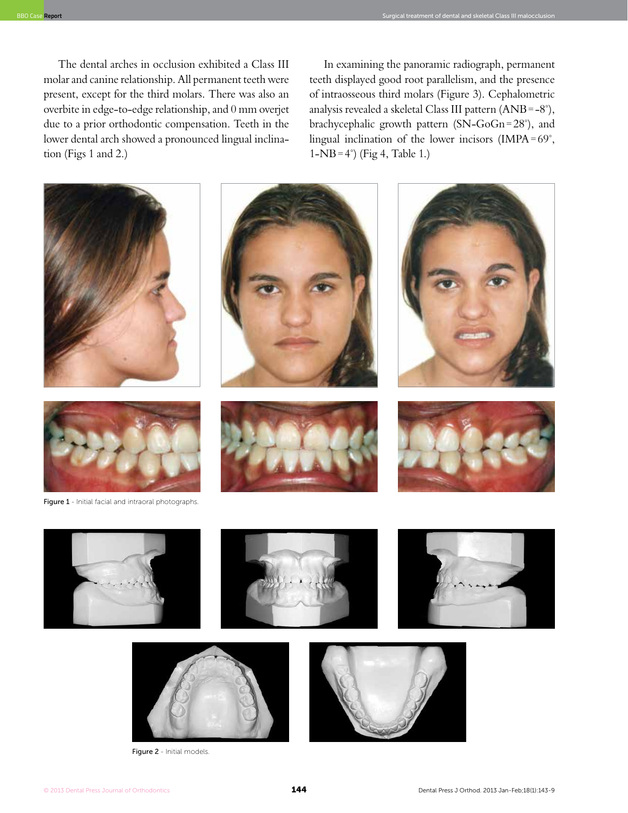The dental arches in occlusion exhibited a Class III molar and canine relationship. All permanent teeth were present, except for the third molars. There was also an overbite in edge-to-edge relationship, and 0 mm overjet due to a prior orthodontic compensation. Teeth in the lower dental arch showed a pronounced lingual inclination (Figs 1 and 2.)

In examining the panoramic radiograph, permanent teeth displayed good root parallelism, and the presence of intraosseous third molars (Figure 3). Cephalometric analysis revealed a skeletal Class III pattern (ANB=-8°), brachycephalic growth pattern (SN-GoGn=28°), and lingual inclination of the lower incisors (IMPA=69°,  $1-NB=4^{\circ}$  (Fig 4, Table 1.)







Figure 2 - Initial models.

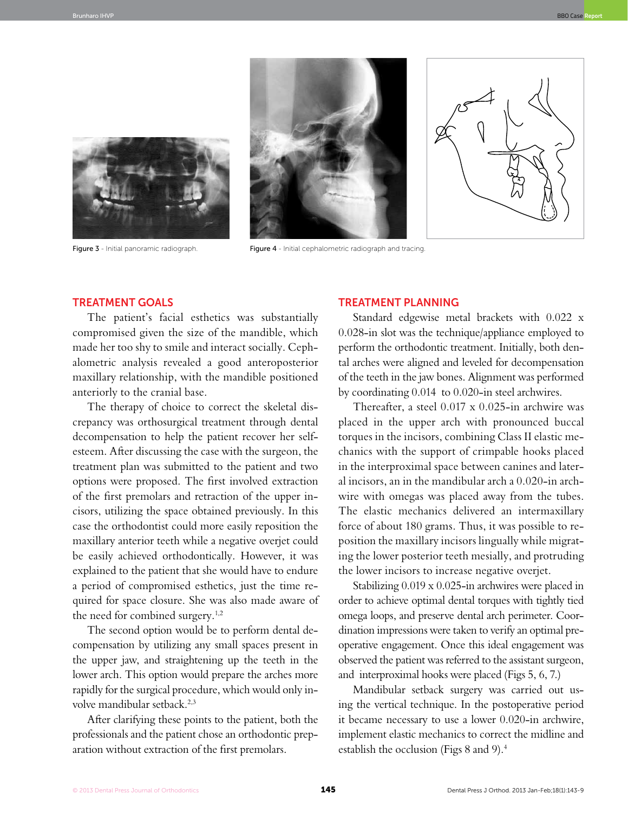



Figure 3 - Initial panoramic radiograph. Figure 4 - Initial cephalometric radiograph and tracing



#### Treatment goals

The patient's facial esthetics was substantially compromised given the size of the mandible, which made her too shy to smile and interact socially. Cephalometric analysis revealed a good anteroposterior maxillary relationship, with the mandible positioned anteriorly to the cranial base.

The therapy of choice to correct the skeletal discrepancy was orthosurgical treatment through dental decompensation to help the patient recover her selfesteem. After discussing the case with the surgeon, the treatment plan was submitted to the patient and two options were proposed. The first involved extraction of the first premolars and retraction of the upper incisors, utilizing the space obtained previously. In this case the orthodontist could more easily reposition the maxillary anterior teeth while a negative overjet could be easily achieved orthodontically. However, it was explained to the patient that she would have to endure a period of compromised esthetics, just the time required for space closure. She was also made aware of the need for combined surgery.<sup>1,2</sup>

The second option would be to perform dental decompensation by utilizing any small spaces present in the upper jaw, and straightening up the teeth in the lower arch. This option would prepare the arches more rapidly for the surgical procedure, which would only involve mandibular setback.2,3

After clarifying these points to the patient, both the professionals and the patient chose an orthodontic preparation without extraction of the first premolars.

## Treatment planning

Standard edgewise metal brackets with 0.022 x 0.028-in slot was the technique/appliance employed to perform the orthodontic treatment. Initially, both dental arches were aligned and leveled for decompensation of the teeth in the jaw bones. Alignment was performed by coordinating 0.014 to 0.020-in steel archwires.

Thereafter, a steel 0.017 x 0.025-in archwire was placed in the upper arch with pronounced buccal torques in the incisors, combining Class II elastic mechanics with the support of crimpable hooks placed in the interproximal space between canines and lateral incisors, an in the mandibular arch a 0.020-in archwire with omegas was placed away from the tubes. The elastic mechanics delivered an intermaxillary force of about 180 grams. Thus, it was possible to reposition the maxillary incisors lingually while migrating the lower posterior teeth mesially, and protruding the lower incisors to increase negative overjet.

Stabilizing 0.019 x 0.025-in archwires were placed in order to achieve optimal dental torques with tightly tied omega loops, and preserve dental arch perimeter. Coordination impressions were taken to verify an optimal preoperative engagement. Once this ideal engagement was observed the patient was referred to the assistant surgeon, and interproximal hooks were placed (Figs 5, 6, 7.)

Mandibular setback surgery was carried out using the vertical technique. In the postoperative period it became necessary to use a lower 0.020-in archwire, implement elastic mechanics to correct the midline and establish the occlusion (Figs 8 and 9).4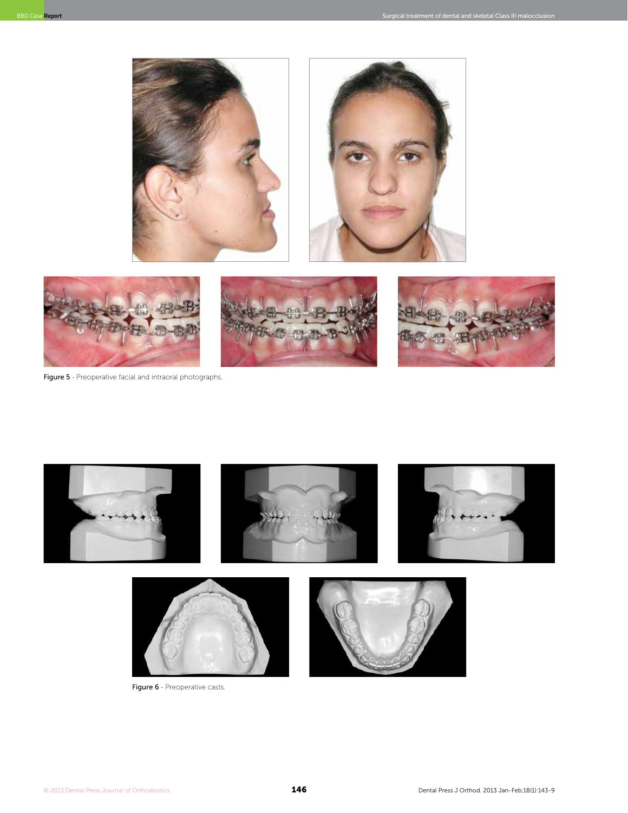



Figure 5 - Preoperative facial and intraoral photographs.



Figure 6 - Preoperative casts.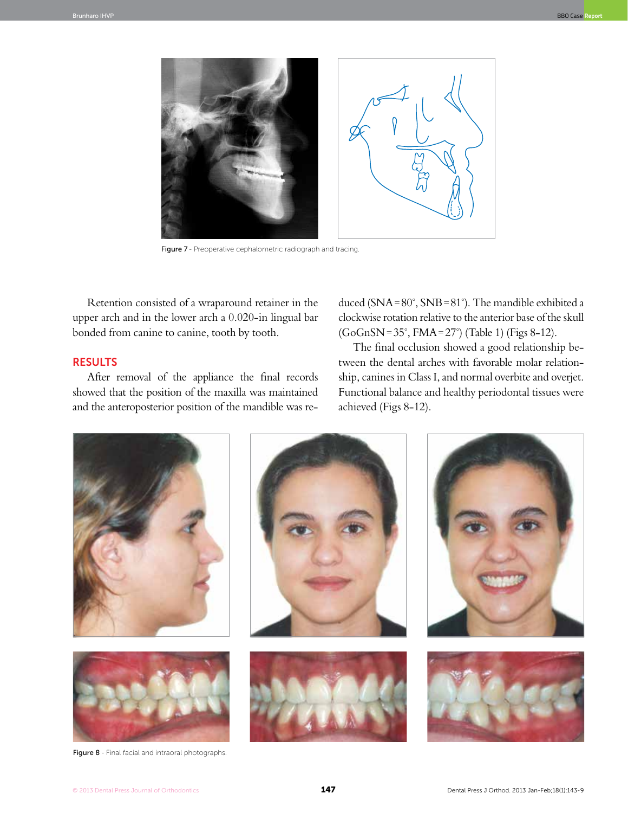

Figure 7 - Preoperative cephalometric radiograph and tracing

Retention consisted of a wraparound retainer in the upper arch and in the lower arch a 0.020-in lingual bar bonded from canine to canine, tooth by tooth.

# **RESULTS**

After removal of the appliance the final records showed that the position of the maxilla was maintained and the anteroposterior position of the mandible was reduced (SNA=80°, SNB=81°). The mandible exhibited a clockwise rotation relative to the anterior base of the skull (GoGnSN=35°, FMA=27°) (Table 1) (Figs 8-12).

The final occlusion showed a good relationship between the dental arches with favorable molar relationship, canines in Class I, and normal overbite and overjet. Functional balance and healthy periodontal tissues were achieved (Figs 8-12).



Figure 8 - Final facial and intraoral photographs.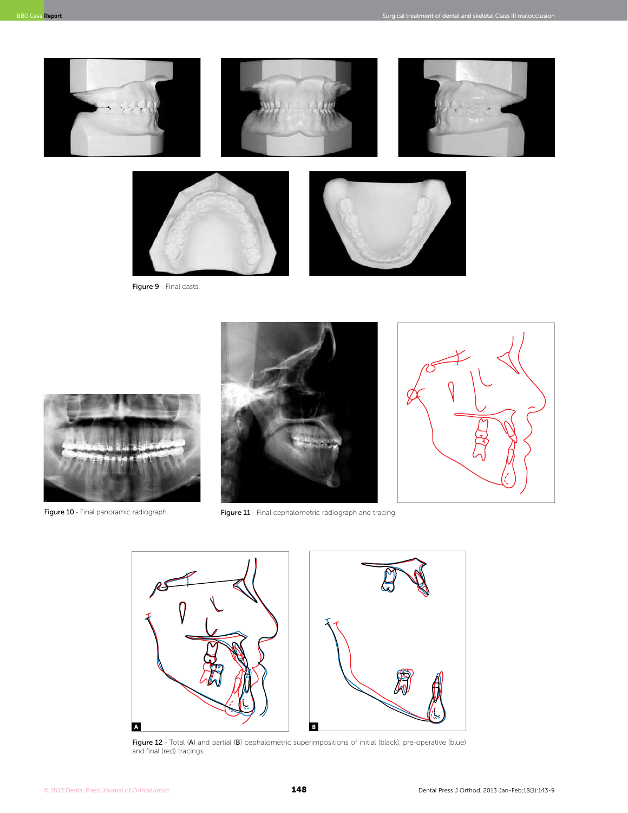



Figure 10 - Final panoramic radiograph.



Figure 11 - Final cephalometric radiograph and tracing.



Figure 12 - Total (A) and partial (B) cephalometric superimpositions of initial (black), pre-operative (blue) and final (red) tracings.